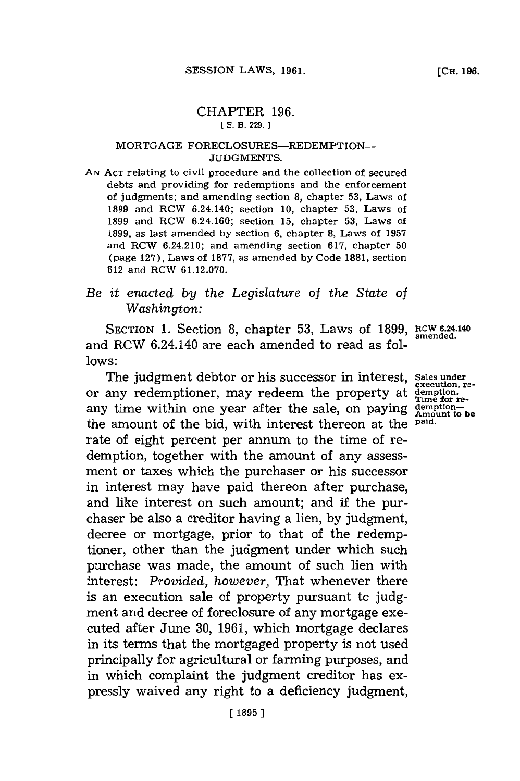### CHAPTER **196. CS. B. 229.**

#### MORTGAGE FORECLOSURES-REDEMPTION-**JUDGMENTS.**

**AN ACT** relating to civil procedure and the collection of secured debts and providing for redemptions and the enforcement of judgments; and amending section **8,** chapter **53,** Laws of **1899** and RCW 6.24.140; section **10,** chapter **53,** Laws of **1899** and RCW 6.24.160; section **15,** chapter **53,** Laws of **1899,** as last amended **by** section **6,** chapter **8,** Laws of **1957** and RCW 6.24.210; and amending section **617,** chapter **<sup>50</sup>** (page **127),** Laws of **1877,** as amended **by** Code **1881,** section **612** and RCW **61.12.070.**

# *Be it enacted by the Legislature of the State of Washington:*

SECTION **1.** Section **8,** chapter **53,** Laws of **1899, RCW 6.4.140** and RCW 6.24.140 are each amended to read as fol**lows:**

The judgment debtor or his successor in interest, Sales under or any redemptioner, may redeem the property at  $\frac{\text{g}-\text{g}}{\text{f}}$  are the sale, on paying  $\frac{\text{d}}{\text{g}}$  are the sale, on paying  $\frac{\text{g}}{\text{g}}$  are the sale. the amount of the bid, with interest thereon at the **paid.** rate of eight percent per annum to the time of redemption, together with the amount of any assessment or taxes which the purchaser or his successor in interest may have paid thereon after purchase, and like interest on such amount; and if the purchaser be also a creditor having a lien, **by** judgment, decree or mortgage, prior to that of the redemptioner, other than the judgment under which such purchase was made, the amount of such lien with interest: *Provided, however,* That whenever there is an execution sale of property pursuant to **judg**ment and decree of foreclosure of any mortgage executed after June **30, 1961,** which mortgage declares in its terms that the mortgaged property is not used principally for agricultural or farming purposes, and in which complaint the judgment creditor has expressly waived any right to a deficiency judgment,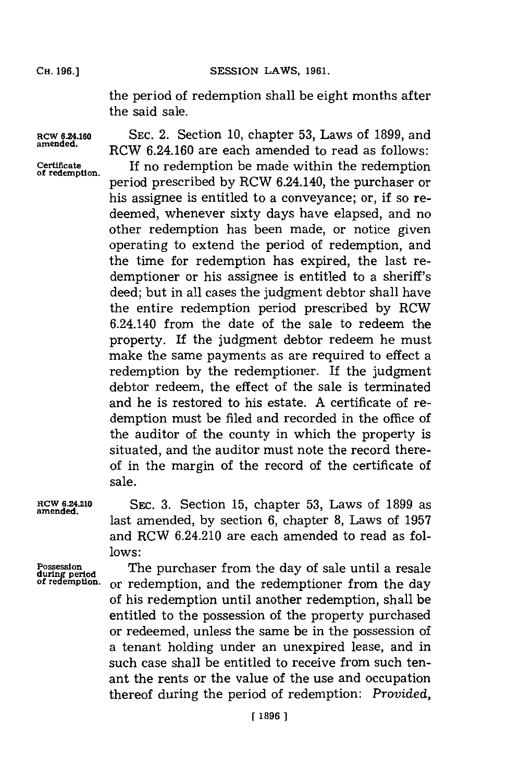SESSION LAWS, 1961.

the period of redemption shall be eight months after the said sale.

**ROW 6.24.160 amended.**

**Certificate of redemption.**

**SEC.** 2. Section **10,** chapter **53,** Laws of **1899,** and RCW 6.24.160 are each amended to read as follows: If no redemption be made within the redemption period prescribed **by** RCW 6.24.140, the purchaser or his assignee is entitled to a conveyance; or, if so redeemed, whenever sixty days have elapsed, and no other redemption has been made, or notice given operating to extend the period of redemption, and the time for redemption has expired, the last redemptioner or his assignee is entitled to a sheriff's deed; but in all cases the judgment debtor shall have the entire redemption period prescribed **by** RCW 6.24.140 from the date of the sale to redeem the property. If the judgment debtor redeem he must make the same payments as are required to effect a redemption **by** the redemptioner. If the judgment debtor redeem, the effect of the sale is terminated and he is restored to his estate. **A** certificate of redemption must be filed and recorded in the office of the auditor of the county in which the property is situated, and the auditor must note the record thereof in the margin of the record of the certificate of sale.

**RCW 6.24.210 amended.**

SEC. **3.** Section **15,** chapter **53,** Laws of **1899** as last amended, **by** section **6,** chapter **8,** Laws of **1957** and RCW 6.24.210 are each amended to read as fol**lows:**

**Possession during period of redemption.**

The purchaser from the day of sale until a resale or redemption, and the redemptioner from the day of his redemption until another redemption, shall be entitled to the possession of the property purchased or redeemed, unless the same be in the possession of a tenant holding under an unexpired lease, and in such case shall be entitled to receive from such tenant the rents or the value of the use and occupation thereof during the period of redemption: *Provided,*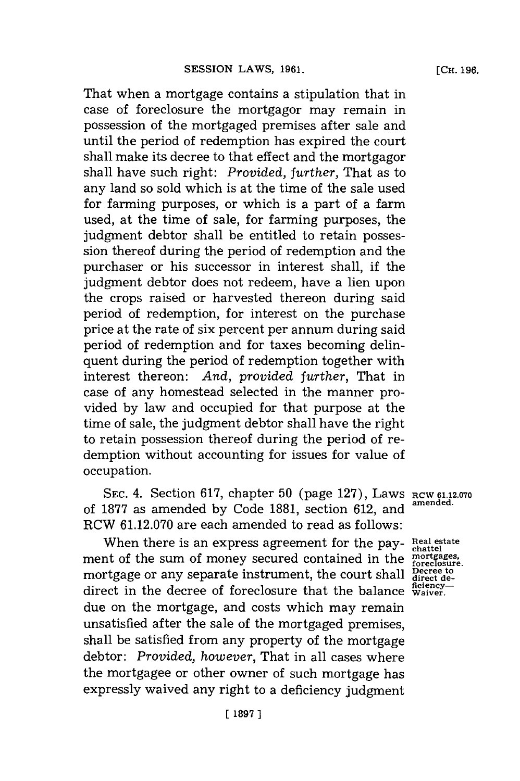That when a mortgage contains a stipulation that in case of foreclosure the mortgagor may remain in possession of the mortgaged premises after sale and until the period of redemption has expired the court shall make its decree to that effect and the mortgagor shall have such right: *Provided, further,* That as to any land so sold which is at the time of the sale used for farming purposes, or which is a part of a farm used, at the time of sale, for farming purposes, the judgment debtor shall be entitled to retain possession thereof during the period of redemption and the purchaser or his successor in interest shall, if the judgment debtor does not redeem, have a lien upon the crops raised or harvested thereon during said period of redemption, for interest on the purchase price at the rate of six percent per annum during said period of redemption and for taxes becoming delinquent during the period of redemption together with interest thereon: *And, provided further,* That in case of any homestead selected in the manner provided by law and occupied for that purpose at the time of sale, the judgment debtor shall have the right to retain possession thereof during the period of redemption without accounting for issues for value of occupation.

SEC. 4. Section 617, chapter 50 (page 127), Laws RCW 61.12.070 of 1877 as amended by Code 1881, section 612, and RCW **61.12.070** are each amended to read as follows:

When there is an express agreement for the pay-Real estate when there is an express agreement for the pay-<br>ment of the sum of money secured contained in the *mortgages*. mortgage or any separate instrument, the court shall pectee to **ficiency-** direct in the decree of foreclosure that the balance **Waiver.** due on the mortgage, and costs which may remain unsatisfied after the sale of the mortgaged premises, shall be satisfied from any property of the mortgage debtor: *Provided, however,* That in all cases where the mortgagee or other owner of such mortgage has expressly waived any right to a deficiency judgment